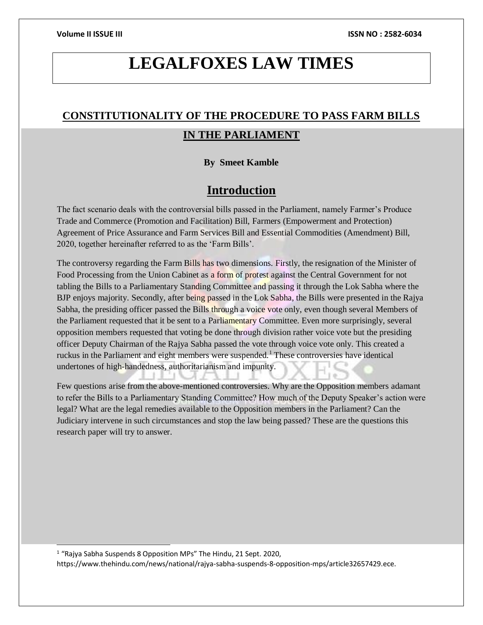# **LEGALFOXES LAW TIMES**

## **CONSTITUTIONALITY OF THE PROCEDURE TO PASS FARM BILLS IN THE PARLIAMENT**

### **By Smeet Kamble**

### **Introduction**

The fact scenario deals with the controversial bills passed in the Parliament, namely Farmer's Produce Trade and Commerce (Promotion and Facilitation) Bill, Farmers (Empowerment and Protection) Agreement of Price Assurance and Farm Services Bill and Essential Commodities (Amendment) Bill, 2020, together hereinafter referred to as the 'Farm Bills'.

The controversy regarding the Farm Bills has two dimensions. Firstly, the resignation of the Minister of Food Processing from the Union Cabinet as a form of protest against the Central Government for not tabling the Bills to a Parliamentary Standing Committee and passing it through the Lok Sabha where the BJP enjoys majority. Secondly, after being passed in the Lok Sabha, the Bills were presented in the Rajya Sabha, the presiding officer passed the Bills through a voice vote only, even though several Members of the Parliament requested that it be sent to a Parliamentary Committee. Even more surprisingly, several opposition members requested that voting be done through division rather voice vote but the presiding officer Deputy Chairman of the Rajya Sabha passed the vote through voice vote only. This created a ruckus in the Parliament and eight members were suspended.<sup>1</sup> These controversies have identical undertones of high-handedness, authoritarianism and impunity.

Few questions arise from the above-mentioned controversies. Why are the Opposition members adamant to refer the Bills to a Parliamentary Standing Committee? How much of the Deputy Speaker's action were legal? What are the legal remedies available to the Opposition members in the Parliament? Can the Judiciary intervene in such circumstances and stop the law being passed? These are the questions this research paper will try to answer.

<sup>1</sup> "Rajya Sabha Suspends 8 Opposition MPs" The Hindu, 21 Sept. 2020,

l

https://www.thehindu.com/news/national/rajya-sabha-suspends-8-opposition-mps/article32657429.ece.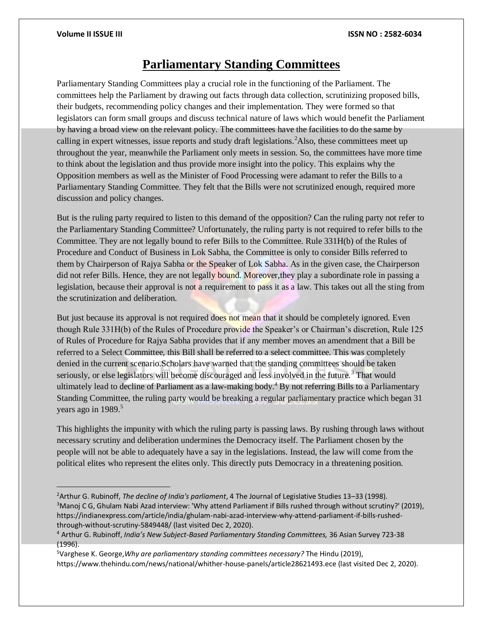$\overline{a}$ 

### **Parliamentary Standing Committees**

Parliamentary Standing Committees play a crucial role in the functioning of the Parliament. The committees help the Parliament by drawing out facts through data collection, scrutinizing proposed bills, their budgets, recommending policy changes and their implementation. They were formed so that legislators can form small groups and discuss technical nature of laws which would benefit the Parliament by having a broad view on the relevant policy. The committees have the facilities to do the same by calling in expert witnesses, issue reports and study draft legislations.  $^{2}$ Also, these committees meet up throughout the year, meanwhile the Parliament only meets in session. So, the committees have more time to think about the legislation and thus provide more insight into the policy. This explains why the Opposition members as well as the Minister of Food Processing were adamant to refer the Bills to a Parliamentary Standing Committee. They felt that the Bills were not scrutinized enough, required more discussion and policy changes.

But is the ruling party required to listen to this demand of the opposition? Can the ruling party not refer to the Parliamentary Standing Committee? Unfortunately, the ruling party is not required to refer bills to the Committee. They are not legally bound to refer Bills to the Committee. Rule 331H(b) of the Rules of Procedure and Conduct of Business in Lok Sabha, the Committee is only to consider Bills referred to them by Chairperson of Rajya Sabha or the Speaker of Lok Sabha. As in the given case, the Chairperson did not refer Bills. Hence, they are not legally bound. Moreover,they play a subordinate role in passing a legislation, because their approval is not a requirement to pass it as a law. This takes out all the sting from the scrutinization and deliberation.

But just because its approval is not required does not mean that it should be completely ignored. Even though Rule 331H(b) of the Rules of Procedure provide the Speaker's or Chairman's discretion, Rule 125 of Rules of Procedure for Rajya Sabha provides that if any member moves an amendment that a Bill be referred to a Select Committee, this Bill shall be referred to a select committee. This was completely denied in the current scenario.Scholars have warned that the standing committees should be taken seriously, or else legislators will become discouraged and less involved in the future.<sup>3</sup> That would ultimately lead to decline of Parliament as a law-making body.<sup>4</sup> By not referring Bills to a Parliamentary Standing Committee, the ruling party would be breaking a regular parliamentary practice which began 31 years ago in  $1989$ <sup>5</sup>

This highlights the impunity with which the ruling party is passing laws. By rushing through laws without necessary scrutiny and deliberation undermines the Democracy itself. The Parliament chosen by the people will not be able to adequately have a say in the legislations. Instead, the law will come from the political elites who represent the elites only. This directly puts Democracy in a threatening position.

<sup>2</sup>Arthur G. Rubinoff, *The decline of India's parliament*, 4 The Journal of Legislative Studies 13–33 (1998). <sup>3</sup>Manoj C G, Ghulam Nabi Azad interview: 'Why attend Parliament if Bills rushed through without scrutiny?' (2019), https://indianexpress.com/article/india/ghulam-nabi-azad-interview-why-attend-parliament-if-bills-rushedthrough-without-scrutiny-5849448/ (last visited Dec 2, 2020).

<sup>4</sup> Arthur G. Rubinoff, *India's New Subject-Based Parliamentary Standing Committees,* 36 Asian Survey 723-38 (1996).

<sup>5</sup>Varghese K. George,*Why are parliamentary standing committees necessary?* The Hindu (2019), https://www.thehindu.com/news/national/whither-house-panels/article28621493.ece (last visited Dec 2, 2020).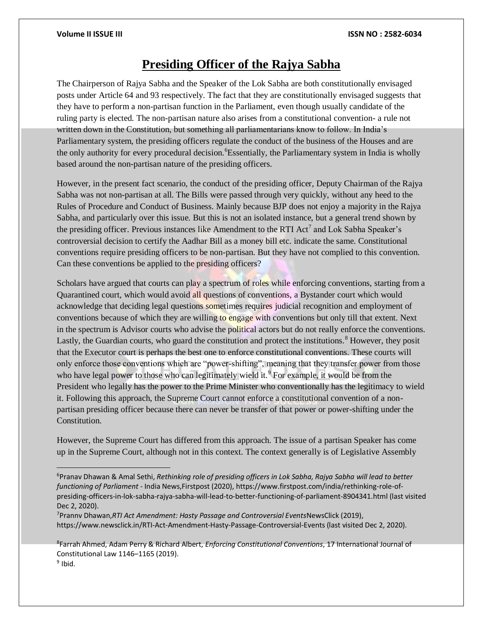## **Presiding Officer of the Rajya Sabha**

The Chairperson of Rajya Sabha and the Speaker of the Lok Sabha are both constitutionally envisaged posts under Article 64 and 93 respectively. The fact that they are constitutionally envisaged suggests that they have to perform a non-partisan function in the Parliament, even though usually candidate of the ruling party is elected. The non-partisan nature also arises from a constitutional convention- a rule not written down in the Constitution, but something all parliamentarians know to follow. In India's Parliamentary system, the presiding officers regulate the conduct of the business of the Houses and are the only authority for every procedural decision. <sup>6</sup>Essentially, the Parliamentary system in India is wholly based around the non-partisan nature of the presiding officers.

However, in the present fact scenario, the conduct of the presiding officer, Deputy Chairman of the Rajya Sabha was not non-partisan at all. The Bills were passed through very quickly, without any heed to the Rules of Procedure and Conduct of Business. Mainly because BJP does not enjoy a majority in the Rajya Sabha, and particularly over this issue. But this is not an isolated instance, but a general trend shown by the presiding officer. Previous instances like Amendment to the RTI Act<sup>7</sup> and Lok Sabha Speaker's controversial decision to certify the Aadhar Bill as a money bill etc. indicate the same. Constitutional conventions require presiding officers to be non-partisan. But they have not complied to this convention. Can these conventions be applied to the presiding officers?

Scholars have argued that courts can play a spectrum of roles while enforcing conventions, starting from a Quarantined court, which would avoid all questions of conventions, a Bystander court which would acknowledge that deciding legal questions sometimes requires judicial recognition and employment of conventions because of which they are willing to engage with conventions but only till that extent. Next in the spectrum is Advisor courts who advise the political actors but do not really enforce the conventions. Lastly, the Guardian courts, who guard the constitution and protect the institutions.<sup>8</sup> However, they posit that the Executor court is perhaps the best one to enforce constitutional conventions. These courts will only enforce those conventions which are "power-shifting", meaning that they transfer power from those who have legal power to those who can legitimately wield it.<sup>9</sup> For example, it would be from the President who legally has the power to the Prime Minister who conventionally has the legitimacy to wield it. Following this approach, the Supreme Court cannot enforce a constitutional convention of a nonpartisan presiding officer because there can never be transfer of that power or power-shifting under the Constitution.

However, the Supreme Court has differed from this approach. The issue of a partisan Speaker has come up in the Supreme Court, although not in this context. The context generally is of Legislative Assembly

<sup>6</sup>Pranav Dhawan & Amal Sethi, *Rethinking role of presiding officers in Lok Sabha, Rajya Sabha will lead to better functioning of Parliament* - India News,Firstpost (2020), https://www.firstpost.com/india/rethinking-role-ofpresiding-officers-in-lok-sabha-rajya-sabha-will-lead-to-better-functioning-of-parliament-8904341.html (last visited Dec 2, 2020).

<sup>7</sup>Prannv Dhawan,*RTI Act Amendment: Hasty Passage and Controversial Events*NewsClick (2019), https://www.newsclick.in/RTI-Act-Amendment-Hasty-Passage-Controversial-Events (last visited Dec 2, 2020).

<sup>8</sup> Farrah Ahmed, Adam Perry & Richard Albert, *Enforcing Constitutional Conventions*, 17 International Journal of Constitutional Law 1146–1165 (2019). <sup>9</sup> Ibid.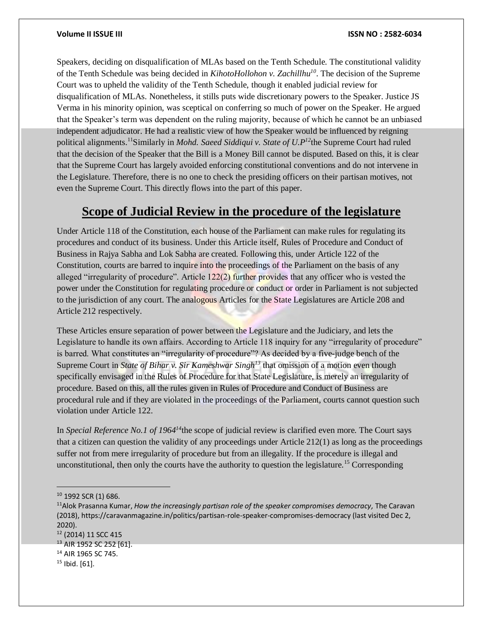Speakers, deciding on disqualification of MLAs based on the Tenth Schedule. The constitutional validity of the Tenth Schedule was being decided in *KihotoHollohon v. Zachillhu<sup>10</sup>*. The decision of the Supreme Court was to upheld the validity of the Tenth Schedule, though it enabled judicial review for disqualification of MLAs. Nonetheless, it stills puts wide discretionary powers to the Speaker. Justice JS Verma in his minority opinion, was sceptical on conferring so much of power on the Speaker. He argued that the Speaker's term was dependent on the ruling majority, because of which he cannot be an unbiased independent adjudicator. He had a realistic view of how the Speaker would be influenced by reigning political alignments.<sup>11</sup>Similarly in *Mohd. Saeed Siddiqui v. State of U.P<sup>12</sup>the Supreme Court had ruled* that the decision of the Speaker that the Bill is a Money Bill cannot be disputed. Based on this, it is clear that the Supreme Court has largely avoided enforcing constitutional conventions and do not intervene in the Legislature. Therefore, there is no one to check the presiding officers on their partisan motives, not even the Supreme Court. This directly flows into the part of this paper.

### **Scope of Judicial Review in the procedure of the legislature**

Under Article 118 of the Constitution, each house of the Parliament can make rules for regulating its procedures and conduct of its business. Under this Article itself, Rules of Procedure and Conduct of Business in Rajya Sabha and Lok Sabha are created. Following this, under Article 122 of the Constitution, courts are barred to inquire into the proceedings of the Parliament on the basis of any alleged "irregularity of procedure". Article  $122(2)$  further provides that any officer who is vested the power under the Constitution for regulating procedure or conduct or order in Parliament is not subjected to the jurisdiction of any court. The analogous Articles for the State Legislatures are Article 208 and Article 212 respectively.

These Articles ensure separation of power between the Legislature and the Judiciary, and lets the Legislature to handle its own affairs. According to Article 118 inquiry for any "irregularity of procedure" is barred. What constitutes an "irregularity of procedure"? As decided by a five-judge bench of the Supreme Court in *State of Bihar v. Sir Kameshwar Singh<sup>13</sup>* that omission of a motion even though specifically envisaged in the Rules of Procedure for that State Legislature, is merely an irregularity of procedure. Based on this, all the rules given in Rules of Procedure and Conduct of Business are procedural rule and if they are violated in the proceedings of the Parliament, courts cannot question such violation under Article 122.

In *Special Reference No.1 of 1964<sup>14</sup>*the scope of judicial review is clarified even more. The Court says that a citizen can question the validity of any proceedings under Article 212(1) as long as the proceedings suffer not from mere irregularity of procedure but from an illegality. If the procedure is illegal and unconstitutional, then only the courts have the authority to question the legislature.<sup>15</sup> Corresponding

 $\overline{a}$ 

<sup>10</sup> 1992 SCR (1) 686.

<sup>11</sup>Alok Prasanna Kumar, *How the increasingly partisan role of the speaker compromises democracy,* The Caravan (2018), https://caravanmagazine.in/politics/partisan-role-speaker-compromises-democracy (last visited Dec 2, 2020).

<sup>12</sup> (2014) 11 SCC 415

<sup>13</sup> AIR 1952 SC 252 [61].

<sup>14</sup> AIR 1965 SC 745.

 $15$  Ibid. [61].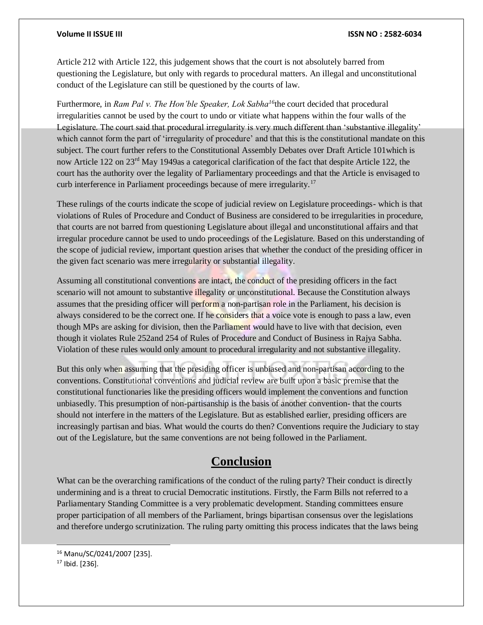Article 212 with Article 122, this judgement shows that the court is not absolutely barred from questioning the Legislature, but only with regards to procedural matters. An illegal and unconstitutional conduct of the Legislature can still be questioned by the courts of law.

Furthermore, in *Ram Pal v. The Hon'ble Speaker, Lok Sabha<sup>16</sup>*the court decided that procedural irregularities cannot be used by the court to undo or vitiate what happens within the four walls of the Legislature. The court said that procedural irregularity is very much different than 'substantive illegality' which cannot form the part of 'irregularity of procedure' and that this is the constitutional mandate on this subject. The court further refers to the Constitutional Assembly Debates over Draft Article 101which is now Article 122 on 23<sup>rd</sup> May 1949as a categorical clarification of the fact that despite Article 122, the court has the authority over the legality of Parliamentary proceedings and that the Article is envisaged to curb interference in Parliament proceedings because of mere irregularity.<sup>17</sup>

These rulings of the courts indicate the scope of judicial review on Legislature proceedings- which is that violations of Rules of Procedure and Conduct of Business are considered to be irregularities in procedure, that courts are not barred from questioning Legislature about illegal and unconstitutional affairs and that irregular procedure cannot be used to undo proceedings of the Legislature. Based on this understanding of the scope of judicial review, important question arises that whether the conduct of the presiding officer in the given fact scenario was mere irregularity or substantial illegality.

Assuming all constitutional conventions are intact, the conduct of the presiding officers in the fact scenario will not amount to substantive illegality or unconstitutional. Because the Constitution always assumes that the presiding officer will perform a non-partisan role in the Parliament, his decision is always considered to be the correct one. If he considers that a voice vote is enough to pass a law, even though MPs are asking for division, then the Parliament would have to live with that decision, even though it violates Rule 252and 254 of Rules of Procedure and Conduct of Business in Rajya Sabha. Violation of these rules would only amount to procedural irregularity and not substantive illegality.

But this only when assuming that the presiding officer is unbiased and non-partisan according to the conventions. Constitutional conventions and judicial review are built upon a basic premise that the constitutional functionaries like the presiding officers would implement the conventions and function unbiasedly. This presumption of non-partisanship is the basis of another convention- that the courts should not interfere in the matters of the Legislature. But as established earlier, presiding officers are increasingly partisan and bias. What would the courts do then? Conventions require the Judiciary to stay out of the Legislature, but the same conventions are not being followed in the Parliament.

### **Conclusion**

What can be the overarching ramifications of the conduct of the ruling party? Their conduct is directly undermining and is a threat to crucial Democratic institutions. Firstly, the Farm Bills not referred to a Parliamentary Standing Committee is a very problematic development. Standing committees ensure proper participation of all members of the Parliament, brings bipartisan consensus over the legislations and therefore undergo scrutinization. The ruling party omitting this process indicates that the laws being

l

<sup>16</sup> Manu/SC/0241/2007 [235].

 $17$  Ibid. [236].